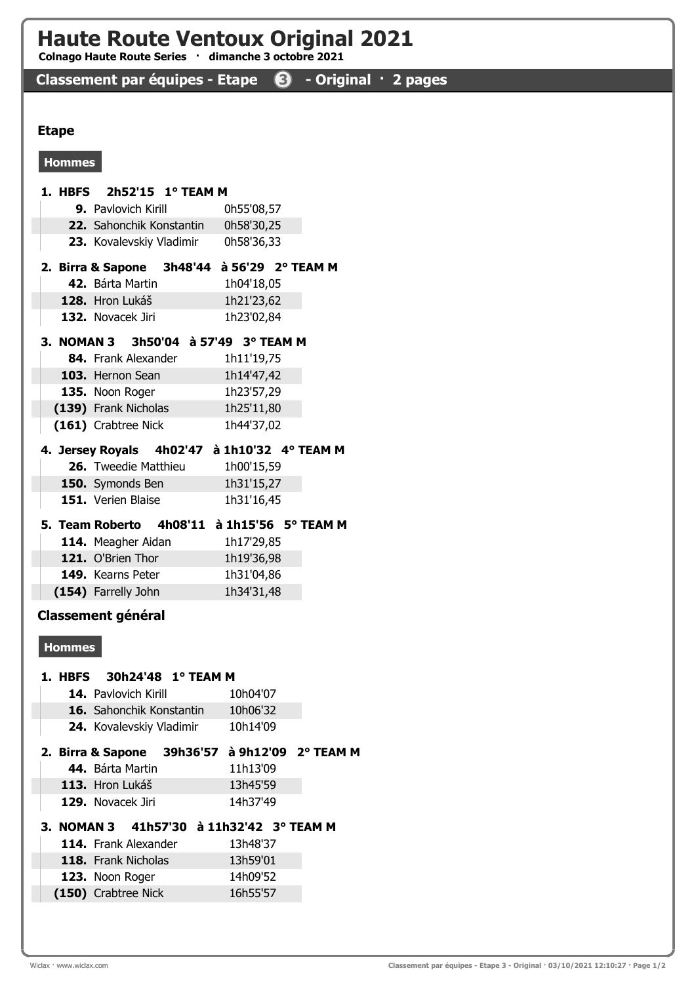## Haute Route Ventoux Original 2021

Colnago Haute Route Series · dimanche 3 octobre 2021

Classement par équipes - Etape <sup>3</sup> - Original · 2 pages

## Etape

## Hommes

| 1. HBFS       | 2h52'15 1° TEAM M                              |                               |  |  |  |  |
|---------------|------------------------------------------------|-------------------------------|--|--|--|--|
|               | 9. Pavlovich Kirill                            | 0h55'08,57                    |  |  |  |  |
|               | 22. Sahonchik Konstantin                       | 0h58'30,25                    |  |  |  |  |
|               | 23. Kovalevskiy Vladimir                       | 0h58'36,33                    |  |  |  |  |
|               | 2. Birra & Sapone 3h48'44 à 56'29 2° TEAM M    |                               |  |  |  |  |
|               | 42. Bárta Martin                               | 1h04'18,05                    |  |  |  |  |
|               | 128. Hron Lukáš                                | 1h21'23,62                    |  |  |  |  |
|               | 132. Novacek Jiri                              | 1h23'02,84                    |  |  |  |  |
|               | 3. NOMAN 3 3h50'04 à 57'49 3° TEAM M           |                               |  |  |  |  |
|               | 84. Frank Alexander                            | 1h11'19,75                    |  |  |  |  |
|               | 103. Hernon Sean                               | 1h14'47,42                    |  |  |  |  |
|               | 135. Noon Roger                                | 1h23'57,29                    |  |  |  |  |
|               | (139) Frank Nicholas                           | 1h25'11,80                    |  |  |  |  |
|               | (161) Crabtree Nick                            | 1h44'37,02                    |  |  |  |  |
|               | 4. Jersey Royals 4h02'47 à 1h10'32 4° TEAM M   |                               |  |  |  |  |
|               | 26. Tweedie Matthieu                           | 1h00'15,59                    |  |  |  |  |
|               | 150. Symonds Ben                               | 1h31'15,27                    |  |  |  |  |
|               | 151. Verien Blaise                             | 1h31'16,45                    |  |  |  |  |
|               | 5. Team Roberto 4h08'11 à 1h15'56 5° TEAM M    |                               |  |  |  |  |
|               | 114. Meagher Aidan                             | 1h17'29,85                    |  |  |  |  |
|               | 121. O'Brien Thor                              | 1h19'36,98                    |  |  |  |  |
|               | 149. Kearns Peter                              | 1h31'04,86                    |  |  |  |  |
|               | (154) Farrelly John                            | 1h34'31,48                    |  |  |  |  |
|               | <b>Classement général</b>                      |                               |  |  |  |  |
| <b>Hommes</b> |                                                |                               |  |  |  |  |
|               |                                                |                               |  |  |  |  |
| 1. HBFS       | 30h24'48 1° TEAM M                             |                               |  |  |  |  |
|               | 14. Pavlovich Kirill                           | 10h04'07                      |  |  |  |  |
|               | 16. Sahonchik Konstantin                       | 10h06'32                      |  |  |  |  |
|               | 24. Kovalevskiy Vladimir                       | 10h14'09                      |  |  |  |  |
|               | 2. Birra & Sapone 39h36'57 à 9h12'09 2° TEAM M |                               |  |  |  |  |
|               | 44. Bárta Martin                               | 11h13'09                      |  |  |  |  |
|               | 113. Hron Lukáš                                | 13h45'59                      |  |  |  |  |
|               | 129. Novacek Jiri                              | 14h37'49                      |  |  |  |  |
| 3. NOMAN 3    |                                                | 41h57'30 à 11h32'42 3° TEAM M |  |  |  |  |
|               | 114. Frank Alexander                           | 13h48'37                      |  |  |  |  |
|               | 118. Frank Nicholas                            | 13h59'01                      |  |  |  |  |
|               | 123. Noon Roger                                | 14h09'52                      |  |  |  |  |
|               | (150) Crabtree Nick                            | 16h55'57                      |  |  |  |  |